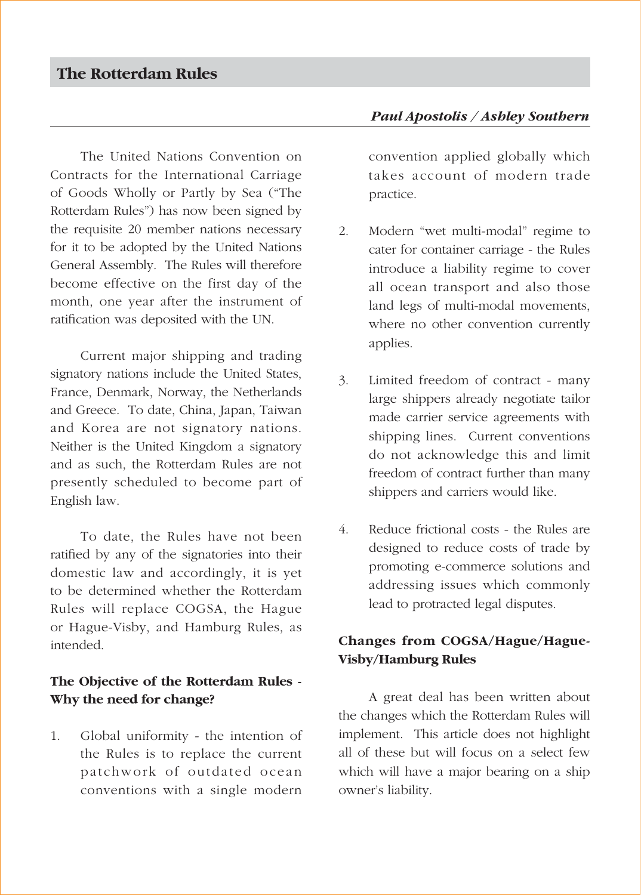The United Nations Convention on Contracts for the International Carriage of Goods Wholly or Partly by Sea ("The Rotterdam Rules") has now been signed by the requisite 20 member nations necessary for it to be adopted by the United Nations General Assembly. The Rules will therefore become effective on the first day of the month, one year after the instrument of ratification was deposited with the UN.

Current major shipping and trading signatory nations include the United States, France, Denmark, Norway, the Netherlands and Greece. To date, China, Japan, Taiwan and Korea are not signatory nations. Neither is the United Kingdom a signatory and as such, the Rotterdam Rules are not presently scheduled to become part of English law.

To date, the Rules have not been ratified by any of the signatories into their domestic law and accordingly, it is yet to be determined whether the Rotterdam Rules will replace COGSA, the Hague or Hague-Visby, and Hamburg Rules, as intended.

## **The Objective of the Rotterdam Rules - Why the need for change?**

1. Global uniformity - the intention of the Rules is to replace the current patchwork of outdated ocean conventions with a single modern

## *Paul Apostolis / Ashley Southern*

convention applied globally which takes account of modern trade practice.

- 2. Modern "wet multi-modal" regime to cater for container carriage - the Rules introduce a liability regime to cover all ocean transport and also those land legs of multi-modal movements, where no other convention currently applies.
- 3. Limited freedom of contract many large shippers already negotiate tailor made carrier service agreements with shipping lines. Current conventions do not acknowledge this and limit freedom of contract further than many shippers and carriers would like.
- 4. Reduce frictional costs the Rules are designed to reduce costs of trade by promoting e-commerce solutions and addressing issues which commonly lead to protracted legal disputes.

## **Changes from COGSA/Hague/Hague-Visby/Hamburg Rules**

A great deal has been written about the changes which the Rotterdam Rules will implement. This article does not highlight all of these but will focus on a select few which will have a major bearing on a ship owner's liability.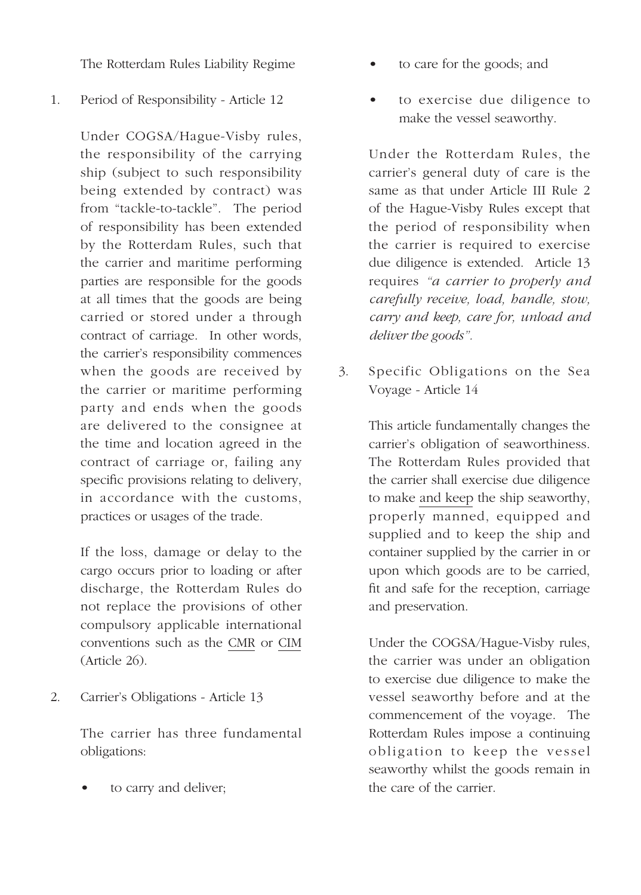The Rotterdam Rules Liability Regime

1. Period of Responsibility - Article 12

Under COGSA/Hague-Visby rules, the responsibility of the carrying ship (subject to such responsibility being extended by contract) was from "tackle-to-tackle". The period of responsibility has been extended by the Rotterdam Rules, such that the carrier and maritime performing parties are responsible for the goods at all times that the goods are being carried or stored under a through contract of carriage. In other words, the carrier's responsibility commences when the goods are received by the carrier or maritime performing party and ends when the goods are delivered to the consignee at the time and location agreed in the contract of carriage or, failing any specific provisions relating to delivery, in accordance with the customs, practices or usages of the trade.

If the loss, damage or delay to the cargo occurs prior to loading or after discharge, the Rotterdam Rules do not replace the provisions of other compulsory applicable international conventions such as the CMR or CIM (Article 26).

2. Carrier's Obligations - Article 13

The carrier has three fundamental obligations:

• to carry and deliver;

- to care for the goods; and
- to exercise due diligence to make the vessel seaworthy.

Under the Rotterdam Rules, the carrier's general duty of care is the same as that under Article III Rule 2 of the Hague-Visby Rules except that the period of responsibility when the carrier is required to exercise due diligence is extended. Article 13 requires *"a carrier to properly and carefully receive, load, handle, stow, carry and keep, care for, unload and deliver the goods".*

3. Specific Obligations on the Sea Voyage - Article 14

> This article fundamentally changes the carrier's obligation of seaworthiness. The Rotterdam Rules provided that the carrier shall exercise due diligence to make and keep the ship seaworthy, properly manned, equipped and supplied and to keep the ship and container supplied by the carrier in or upon which goods are to be carried, fit and safe for the reception, carriage and preservation.

> Under the COGSA/Hague-Visby rules, the carrier was under an obligation to exercise due diligence to make the vessel seaworthy before and at the commencement of the voyage. The Rotterdam Rules impose a continuing obligation to keep the vessel seaworthy whilst the goods remain in the care of the carrier.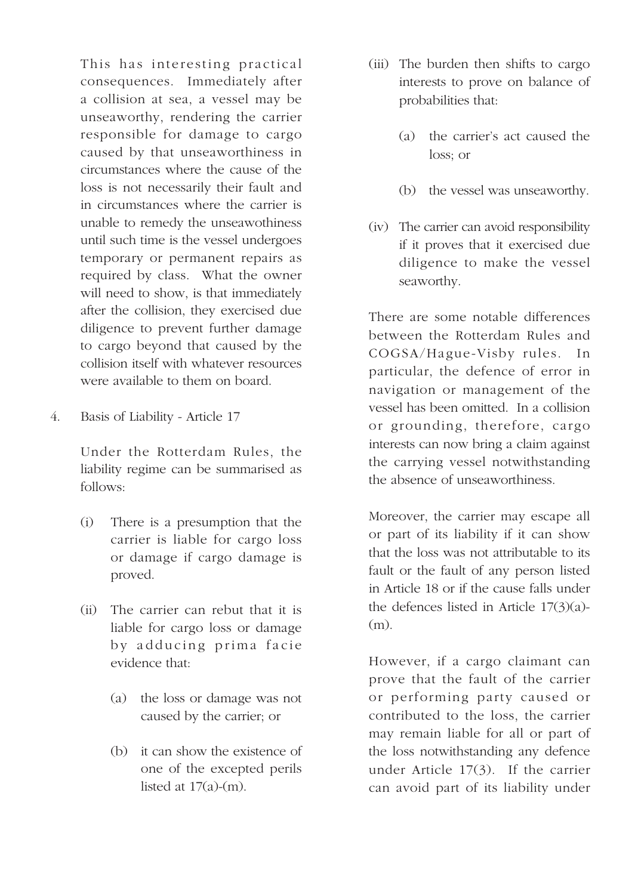This has interesting practical consequences. Immediately after a collision at sea, a vessel may be unseaworthy, rendering the carrier responsible for damage to cargo caused by that unseaworthiness in circumstances where the cause of the loss is not necessarily their fault and in circumstances where the carrier is unable to remedy the unseawothiness until such time is the vessel undergoes temporary or permanent repairs as required by class. What the owner will need to show, is that immediately after the collision, they exercised due diligence to prevent further damage to cargo beyond that caused by the collision itself with whatever resources were available to them on board.

4. Basis of Liability - Article 17

Under the Rotterdam Rules, the liability regime can be summarised as follows:

- (i) There is a presumption that the carrier is liable for cargo loss or damage if cargo damage is proved.
- (ii) The carrier can rebut that it is liable for cargo loss or damage by adducing prima facie evidence that:
	- (a) the loss or damage was not caused by the carrier; or
	- (b) it can show the existence of one of the excepted perils listed at  $17(a)-(m)$ .
- (iii) The burden then shifts to cargo interests to prove on balance of probabilities that:
	- (a) the carrier's act caused the loss; or
	- (b) the vessel was unseaworthy.
- (iv) The carrier can avoid responsibility if it proves that it exercised due diligence to make the vessel seaworthy.

There are some notable differences between the Rotterdam Rules and COGSA/Hague-Visby rules. In particular, the defence of error in navigation or management of the vessel has been omitted. In a collision or grounding, therefore, cargo interests can now bring a claim against the carrying vessel notwithstanding the absence of unseaworthiness.

Moreover, the carrier may escape all or part of its liability if it can show that the loss was not attributable to its fault or the fault of any person listed in Article 18 or if the cause falls under the defences listed in Article  $17(3)(a)$ -(m).

However, if a cargo claimant can prove that the fault of the carrier or performing party caused or contributed to the loss, the carrier may remain liable for all or part of the loss notwithstanding any defence under Article 17(3). If the carrier can avoid part of its liability under